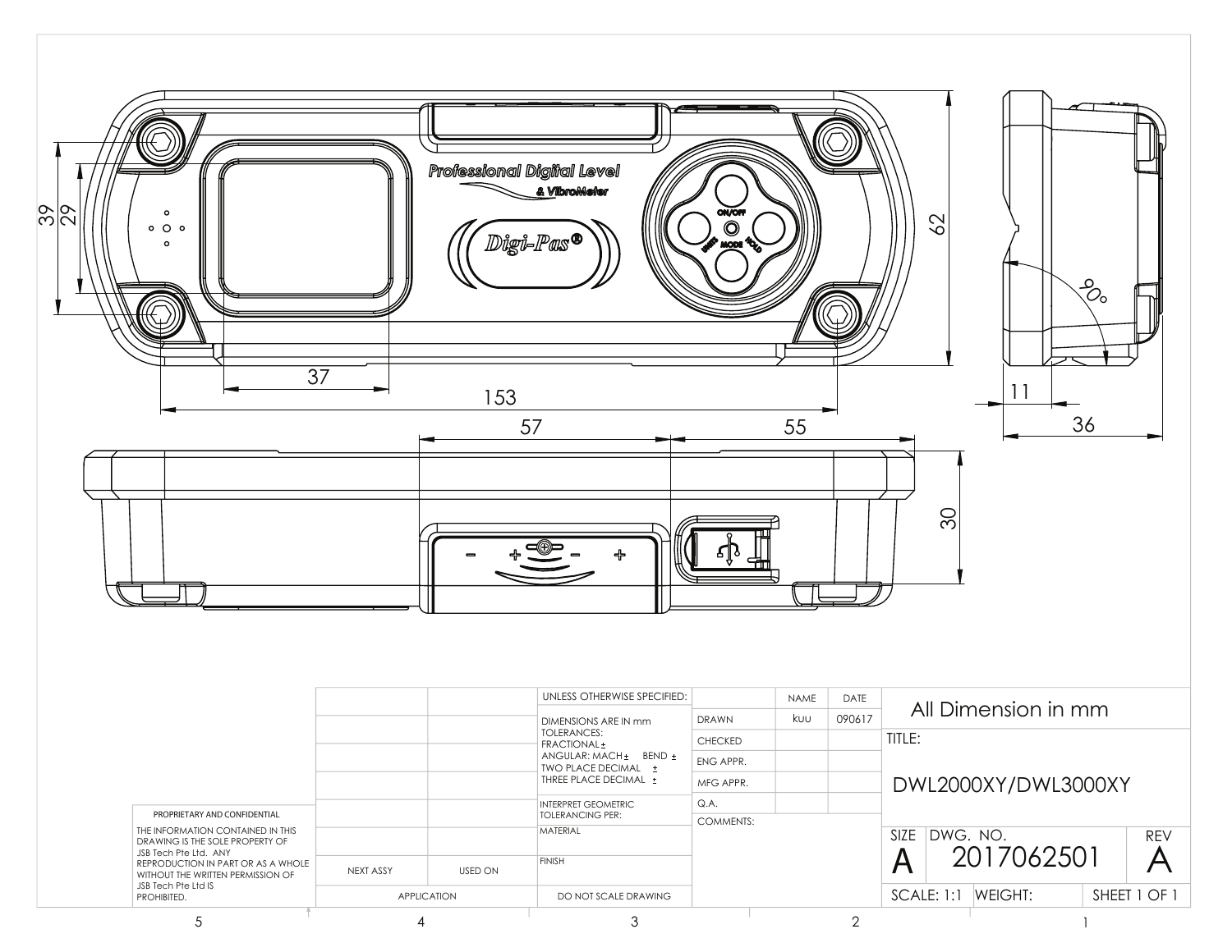